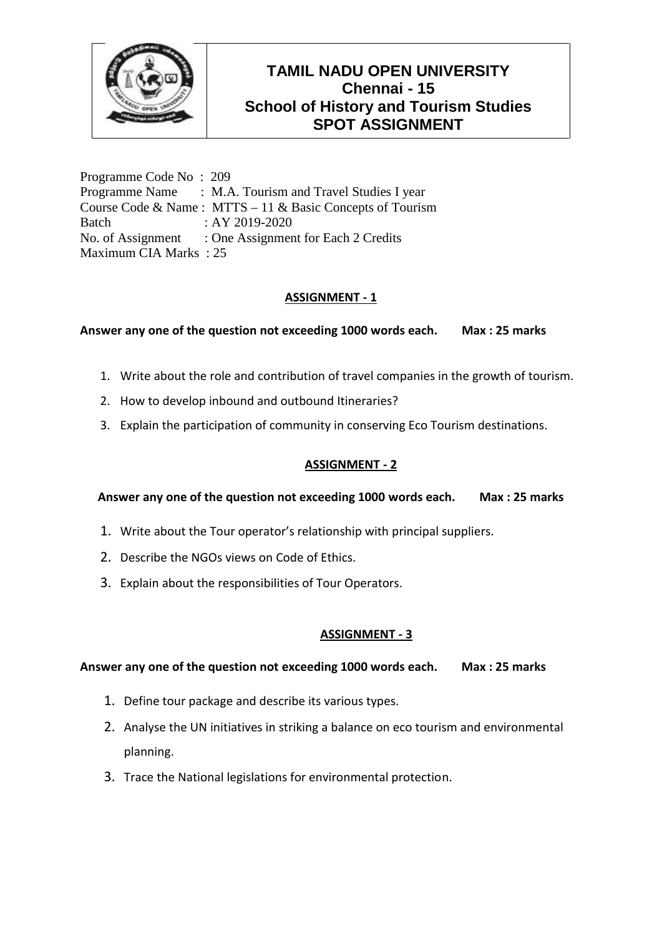

Programme Code No : 209 Programme Name : M.A. Tourism and Travel Studies I year Course Code & Name : MTTS – 11 & Basic Concepts of Tourism Batch : AY 2019-2020 No. of Assignment : One Assignment for Each 2 Credits Maximum CIA Marks : 25

## **ASSIGNMENT - 1**

**Answer any one of the question not exceeding 1000 words each. Max : 25 marks**

- 1. Write about the role and contribution of travel companies in the growth of tourism.
- 2. How to develop inbound and outbound Itineraries?
- 3. Explain the participation of community in conserving Eco Tourism destinations.

## **ASSIGNMENT - 2**

### **Answer any one of the question not exceeding 1000 words each. Max : 25 marks**

- 1. Write about the Tour operator's relationship with principal suppliers.
- 2. Describe the NGOs views on Code of Ethics.
- 3. Explain about the responsibilities of Tour Operators.

## **ASSIGNMENT - 3**

- 1. Define tour package and describe its various types.
- 2. Analyse the UN initiatives in striking a balance on eco tourism and environmental planning.
- 3. Trace the National legislations for environmental protection.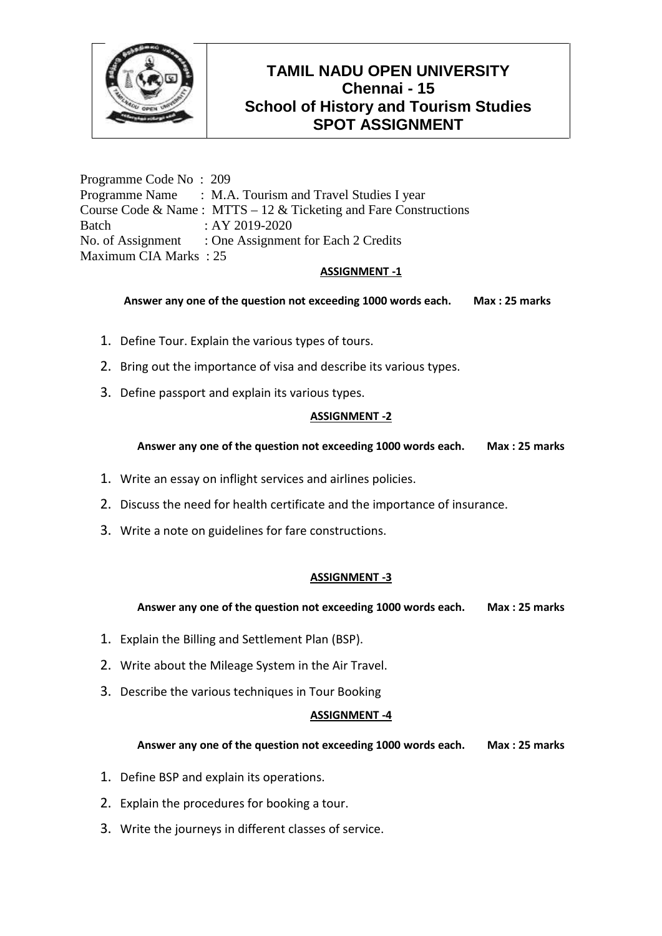

Programme Code No : 209 Programme Name : M.A. Tourism and Travel Studies I year Course Code & Name : MTTS – 12 & Ticketing and Fare Constructions Batch : AY 2019-2020 No. of Assignment : One Assignment for Each 2 Credits Maximum CIA Marks : 25

### **ASSIGNMENT -1**

### **Answer any one of the question not exceeding 1000 words each. Max : 25 marks**

- 1. Define Tour. Explain the various types of tours.
- 2. Bring out the importance of visa and describe its various types.
- 3. Define passport and explain its various types.

### **ASSIGNMENT -2**

**Answer any one of the question not exceeding 1000 words each. Max : 25 marks**

- 1. Write an essay on inflight services and airlines policies.
- 2. Discuss the need for health certificate and the importance of insurance.
- 3. Write a note on guidelines for fare constructions.

### **ASSIGNMENT -3**

**Answer any one of the question not exceeding 1000 words each. Max : 25 marks**

- 1. Explain the Billing and Settlement Plan (BSP).
- 2. Write about the Mileage System in the Air Travel.
- 3. Describe the various techniques in Tour Booking

### **ASSIGNMENT -4**

- 1. Define BSP and explain its operations.
- 2. Explain the procedures for booking a tour.
- 3. Write the journeys in different classes of service.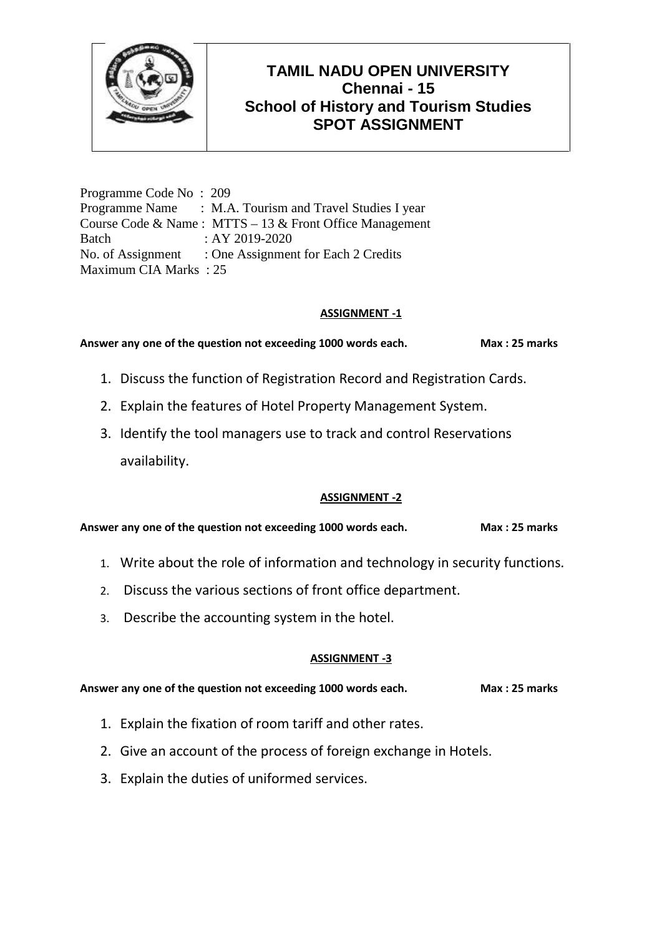

Programme Code No : 209 Programme Name : M.A. Tourism and Travel Studies I year Course Code & Name : MTTS – 13 & Front Office Management Batch : AY 2019-2020 No. of Assignment : One Assignment for Each 2 Credits Maximum CIA Marks : 25

## **ASSIGNMENT -1**

Answer any one of the question not exceeding 1000 words each. Max: 25 marks

- 1. Discuss the function of Registration Record and Registration Cards.
- 2. Explain the features of Hotel Property Management System.
- 3. Identify the tool managers use to track and control Reservations availability.

### **ASSIGNMENT -2**

**Answer any one of the question not exceeding 1000 words each. Max : 25 marks**

- 1. Write about the role of information and technology in security functions.
- 2. Discuss the various sections of front office department.
- 3. Describe the accounting system in the hotel.

## **ASSIGNMENT -3**

- 1. Explain the fixation of room tariff and other rates.
- 2. Give an account of the process of foreign exchange in Hotels.
- 3. Explain the duties of uniformed services.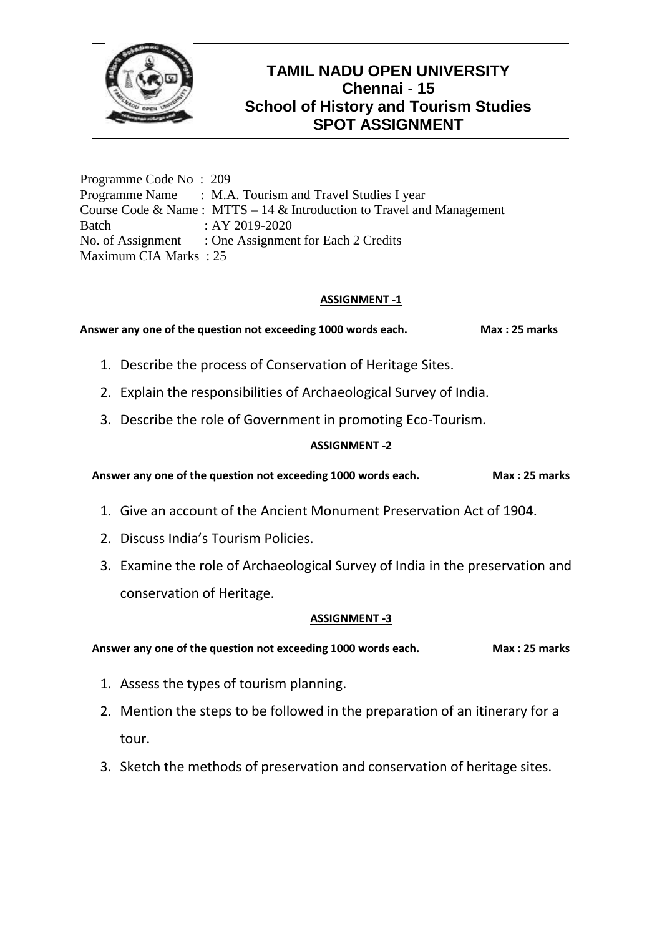

Programme Code No : 209 Programme Name : M.A. Tourism and Travel Studies I year Course Code & Name : MTTS – 14 & Introduction to Travel and Management Batch : AY 2019-2020 No. of Assignment : One Assignment for Each 2 Credits Maximum CIA Marks : 25

## **ASSIGNMENT -1**

Answer any one of the question not exceeding 1000 words each. Max: 25 marks

- 1. Describe the process of Conservation of Heritage Sites.
- 2. Explain the responsibilities of Archaeological Survey of India.
- 3. Describe the role of Government in promoting Eco-Tourism.

### **ASSIGNMENT -2**

**Answer any one of the question not exceeding 1000 words each. Max : 25 marks**

- 1. Give an account of the Ancient Monument Preservation Act of 1904.
- 2. Discuss India's Tourism Policies.
- 3. Examine the role of Archaeological Survey of India in the preservation and conservation of Heritage.

### **ASSIGNMENT -3**

- 1. Assess the types of tourism planning.
- 2. Mention the steps to be followed in the preparation of an itinerary for a tour.
- 3. Sketch the methods of preservation and conservation of heritage sites.